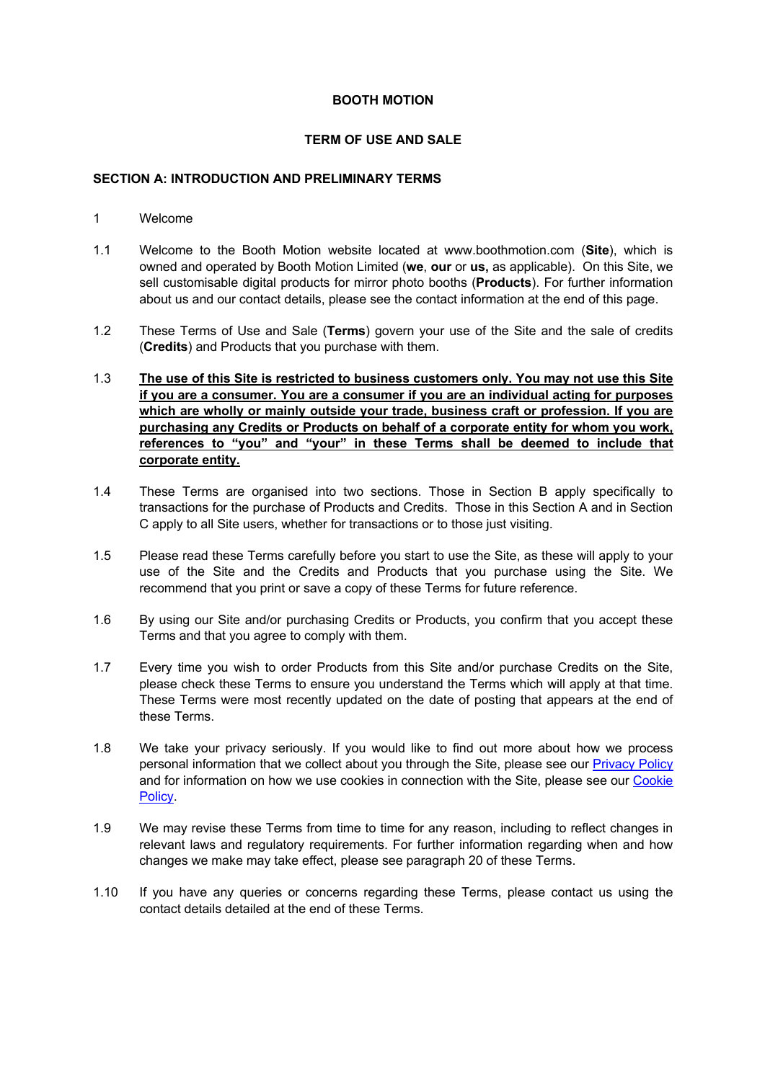## **BOOTH MOTION**

## **TERM OF USE AND SALE**

# **SECTION A: INTRODUCTION AND PRELIMINARY TERMS**

- 1 Welcome
- 1.1 Welcome to the Booth Motion website located at www.boothmotion.com (**Site**), which is owned and operated by Booth Motion Limited (**we**, **our** or **us,** as applicable). On this Site, we sell customisable digital products for mirror photo booths (**Products**). For further information about us and our contact details, please see the contact information at the end of this page.
- 1.2 These Terms of Use and Sale (**Terms**) govern your use of the Site and the sale of credits (**Credits**) and Products that you purchase with them.
- 1.3 **The use of this Site is restricted to business customers only. You may not use this Site if you are a consumer. You are a consumer if you are an individual acting for purposes which are wholly or mainly outside your trade, business craft or profession. If you are purchasing any Credits or Products on behalf of a corporate entity for whom you work, references to "you" and "your" in these Terms shall be deemed to include that corporate entity.**
- 1.4 These Terms are organised into two sections. Those in Section B apply specifically to transactions for the purchase of Products and Credits. Those in this Section A and in Section C apply to all Site users, whether for transactions or to those just visiting.
- 1.5 Please read these Terms carefully before you start to use the Site, as these will apply to your use of the Site and the Credits and Products that you purchase using the Site. We recommend that you print or save a copy of these Terms for future reference.
- 1.6 By using our Site and/or purchasing Credits or Products, you confirm that you accept these Terms and that you agree to comply with them.
- 1.7 Every time you wish to order Products from this Site and/or purchase Credits on the Site, please check these Terms to ensure you understand the Terms which will apply at that time. These Terms were most recently updated on the date of posting that appears at the end of these Terms.
- 1.8 We take your privacy seriously. If you would like to find out more about how we process personal information that we collect about you through the Site, please see our **Privacy Policy** and for information on how we use cookies in connection with the Site, please see our Cookie Policy.
- 1.9 We may revise these Terms from time to time for any reason, including to reflect changes in relevant laws and regulatory requirements. For further information regarding when and how changes we make may take effect, please see paragraph 20 of these Terms.
- 1.10 If you have any queries or concerns regarding these Terms, please contact us using the contact details detailed at the end of these Terms.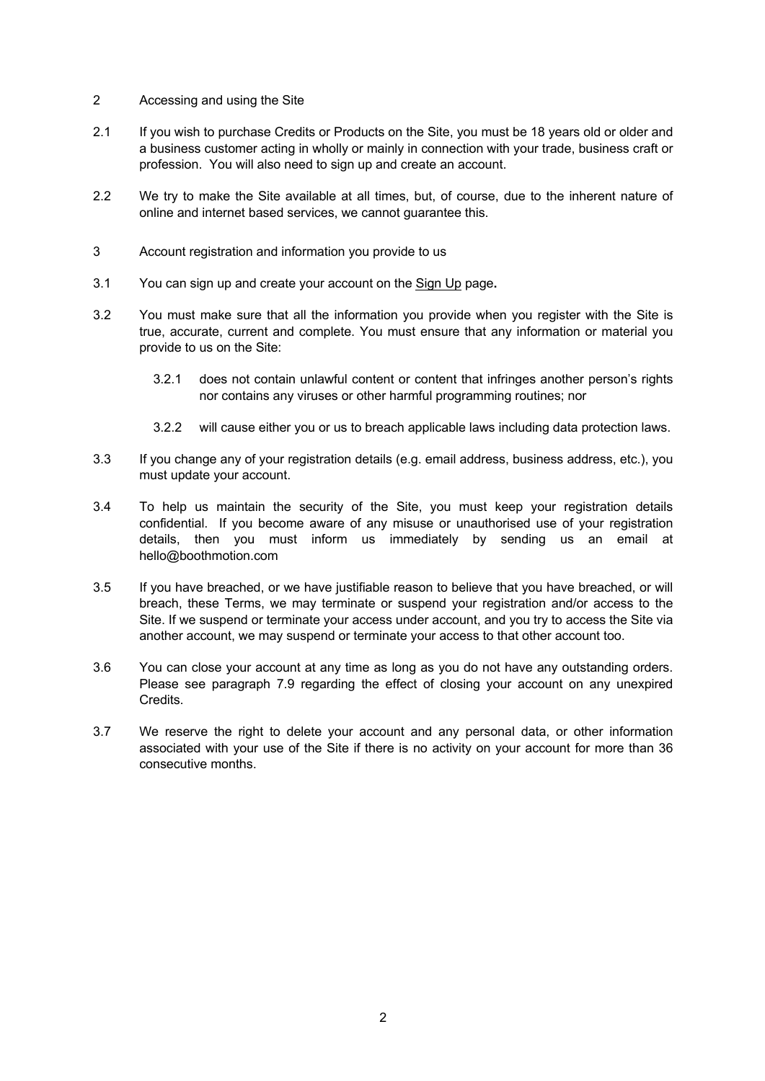- 2 Accessing and using the Site
- 2.1 If you wish to purchase Credits or Products on the Site, you must be 18 years old or older and a business customer acting in wholly or mainly in connection with your trade, business craft or profession. You will also need to sign up and create an account.
- 2.2 We try to make the Site available at all times, but, of course, due to the inherent nature of online and internet based services, we cannot guarantee this.
- 3 Account registration and information you provide to us
- 3.1 You can sign up and create your account on the Sign Up page**.**
- 3.2 You must make sure that all the information you provide when you register with the Site is true, accurate, current and complete. You must ensure that any information or material you provide to us on the Site:
	- 3.2.1 does not contain unlawful content or content that infringes another person's rights nor contains any viruses or other harmful programming routines; nor
	- 3.2.2 will cause either you or us to breach applicable laws including data protection laws.
- 3.3 If you change any of your registration details (e.g. email address, business address, etc.), you must update your account.
- 3.4 To help us maintain the security of the Site, you must keep your registration details confidential. If you become aware of any misuse or unauthorised use of your registration details, then you must inform us immediately by sending us an email at hello@boothmotion.com
- 3.5 If you have breached, or we have justifiable reason to believe that you have breached, or will breach, these Terms, we may terminate or suspend your registration and/or access to the Site. If we suspend or terminate your access under account, and you try to access the Site via another account, we may suspend or terminate your access to that other account too.
- 3.6 You can close your account at any time as long as you do not have any outstanding orders. Please see paragraph 7.9 regarding the effect of closing your account on any unexpired Credits.
- 3.7 We reserve the right to delete your account and any personal data, or other information associated with your use of the Site if there is no activity on your account for more than 36 consecutive months.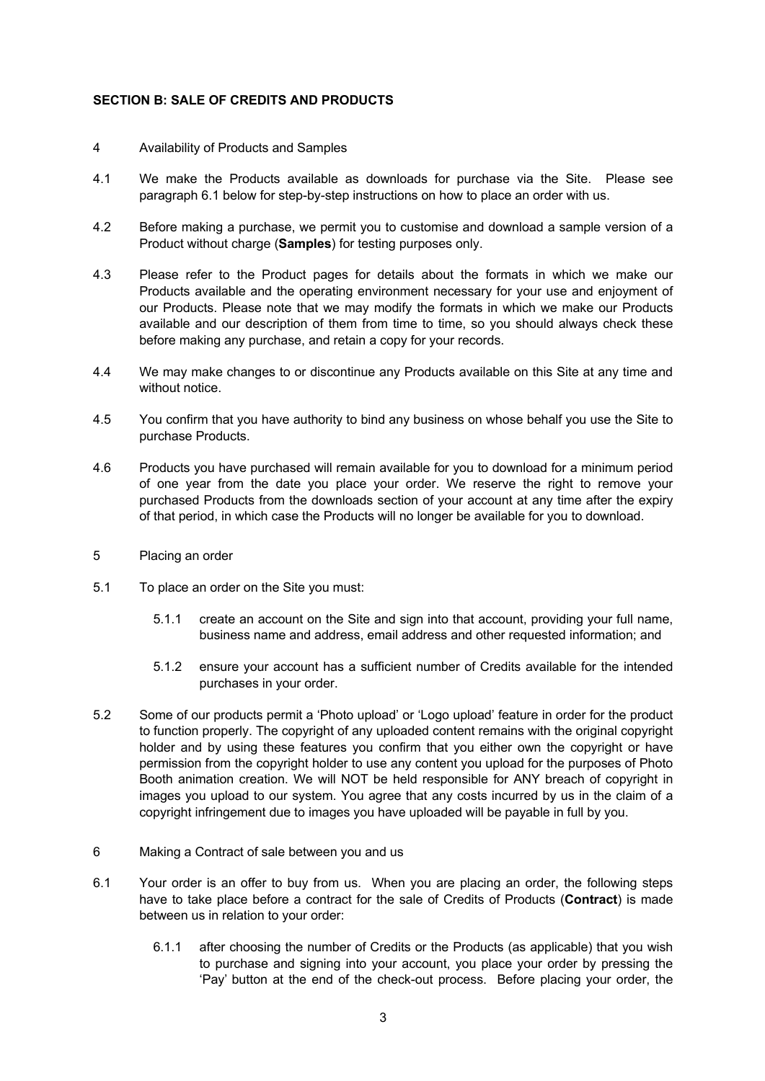## **SECTION B: SALE OF CREDITS AND PRODUCTS**

- 4 Availability of Products and Samples
- 4.1 We make the Products available as downloads for purchase via the Site. Please see paragraph 6.1 below for step-by-step instructions on how to place an order with us.
- 4.2 Before making a purchase, we permit you to customise and download a sample version of a Product without charge (**Samples**) for testing purposes only.
- 4.3 Please refer to the Product pages for details about the formats in which we make our Products available and the operating environment necessary for your use and enjoyment of our Products. Please note that we may modify the formats in which we make our Products available and our description of them from time to time, so you should always check these before making any purchase, and retain a copy for your records.
- 4.4 We may make changes to or discontinue any Products available on this Site at any time and without notice.
- 4.5 You confirm that you have authority to bind any business on whose behalf you use the Site to purchase Products.
- 4.6 Products you have purchased will remain available for you to download for a minimum period of one year from the date you place your order. We reserve the right to remove your purchased Products from the downloads section of your account at any time after the expiry of that period, in which case the Products will no longer be available for you to download.
- 5 Placing an order
- 5.1 To place an order on the Site you must:
	- 5.1.1 create an account on the Site and sign into that account, providing your full name, business name and address, email address and other requested information; and
	- 5.1.2 ensure your account has a sufficient number of Credits available for the intended purchases in your order.
- 5.2 Some of our products permit a 'Photo upload' or 'Logo upload' feature in order for the product to function properly. The copyright of any uploaded content remains with the original copyright holder and by using these features you confirm that you either own the copyright or have permission from the copyright holder to use any content you upload for the purposes of Photo Booth animation creation. We will NOT be held responsible for ANY breach of copyright in images you upload to our system. You agree that any costs incurred by us in the claim of a copyright infringement due to images you have uploaded will be payable in full by you.
- 6 Making a Contract of sale between you and us
- 6.1 Your order is an offer to buy from us. When you are placing an order, the following steps have to take place before a contract for the sale of Credits of Products (**Contract**) is made between us in relation to your order:
	- 6.1.1 after choosing the number of Credits or the Products (as applicable) that you wish to purchase and signing into your account, you place your order by pressing the 'Pay' button at the end of the check-out process. Before placing your order, the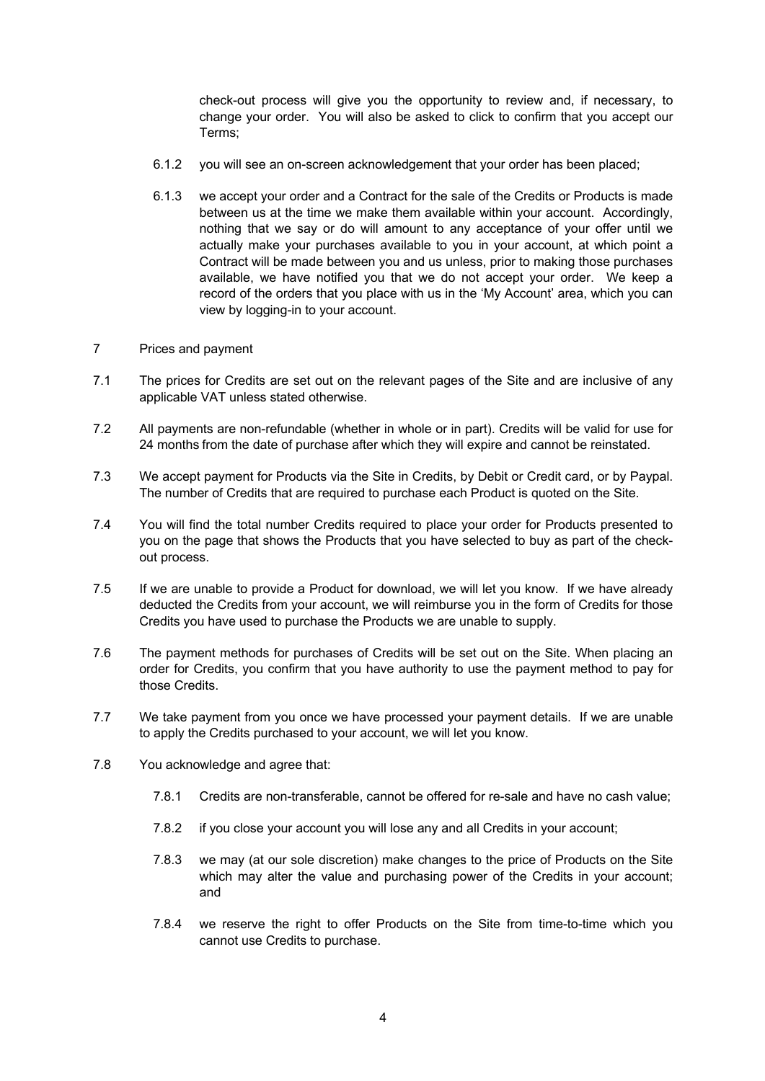check-out process will give you the opportunity to review and, if necessary, to change your order. You will also be asked to click to confirm that you accept our Terms;

- 6.1.2 you will see an on-screen acknowledgement that your order has been placed;
- 6.1.3 we accept your order and a Contract for the sale of the Credits or Products is made between us at the time we make them available within your account. Accordingly, nothing that we say or do will amount to any acceptance of your offer until we actually make your purchases available to you in your account, at which point a Contract will be made between you and us unless, prior to making those purchases available, we have notified you that we do not accept your order. We keep a record of the orders that you place with us in the 'My Account' area, which you can view by logging-in to your account.
- 7 Prices and payment
- 7.1 The prices for Credits are set out on the relevant pages of the Site and are inclusive of any applicable VAT unless stated otherwise.
- 7.2 All payments are non-refundable (whether in whole or in part). Credits will be valid for use for 24 months from the date of purchase after which they will expire and cannot be reinstated.
- 7.3 We accept payment for Products via the Site in Credits, by Debit or Credit card, or by Paypal. The number of Credits that are required to purchase each Product is quoted on the Site.
- 7.4 You will find the total number Credits required to place your order for Products presented to you on the page that shows the Products that you have selected to buy as part of the checkout process.
- 7.5 If we are unable to provide a Product for download, we will let you know. If we have already deducted the Credits from your account, we will reimburse you in the form of Credits for those Credits you have used to purchase the Products we are unable to supply.
- 7.6 The payment methods for purchases of Credits will be set out on the Site. When placing an order for Credits, you confirm that you have authority to use the payment method to pay for those Credits.
- 7.7 We take payment from you once we have processed your payment details. If we are unable to apply the Credits purchased to your account, we will let you know.
- 7.8 You acknowledge and agree that:
	- 7.8.1 Credits are non-transferable, cannot be offered for re-sale and have no cash value;
	- 7.8.2 if you close your account you will lose any and all Credits in your account;
	- 7.8.3 we may (at our sole discretion) make changes to the price of Products on the Site which may alter the value and purchasing power of the Credits in your account; and
	- 7.8.4 we reserve the right to offer Products on the Site from time-to-time which you cannot use Credits to purchase.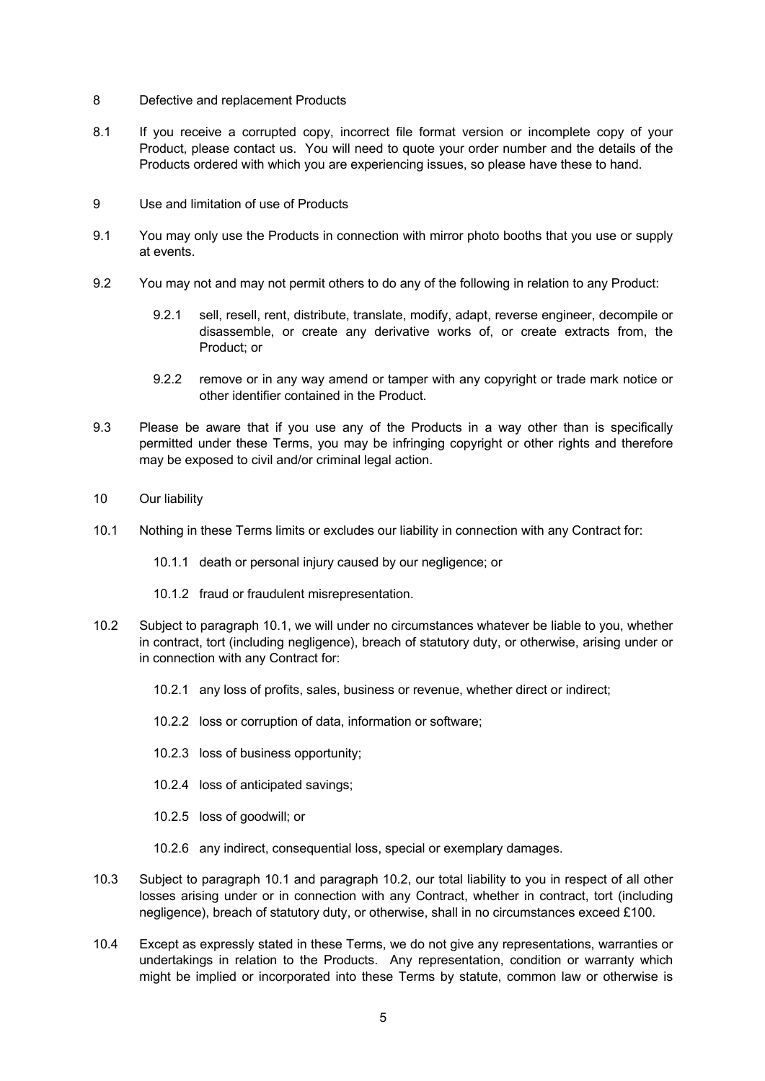- 8 Defective and replacement Products
- 8.1 If you receive a corrupted copy, incorrect file format version or incomplete copy of your Product, please contact us. You will need to quote your order number and the details of the Products ordered with which you are experiencing issues, so please have these to hand.
- 9 Use and limitation of use of Products
- 9.1 You may only use the Products in connection with mirror photo booths that you use or supply at events.
- 9.2 You may not and may not permit others to do any of the following in relation to any Product:
	- 9.2.1 sell, resell, rent, distribute, translate, modify, adapt, reverse engineer, decompile or disassemble, or create any derivative works of, or create extracts from, the Product; or
	- 9.2.2 remove or in any way amend or tamper with any copyright or trade mark notice or other identifier contained in the Product.
- 9.3 Please be aware that if you use any of the Products in a way other than is specifically permitted under these Terms, you may be infringing copyright or other rights and therefore may be exposed to civil and/or criminal legal action.
- 10 Our liability
- 10.1 Nothing in these Terms limits or excludes our liability in connection with any Contract for:
	- 10.1.1 death or personal injury caused by our negligence; or
	- 10.1.2 fraud or fraudulent misrepresentation.
- 10.2 Subject to paragraph 10.1, we will under no circumstances whatever be liable to you, whether in contract, tort (including negligence), breach of statutory duty, or otherwise, arising under or in connection with any Contract for:
	- 10.2.1 any loss of profits, sales, business or revenue, whether direct or indirect;
	- 10.2.2 loss or corruption of data, information or software;
	- 10.2.3 loss of business opportunity;
	- 10.2.4 loss of anticipated savings;
	- 10.2.5 loss of goodwill; or
	- 10.2.6 any indirect, consequential loss, special or exemplary damages.
- 10.3 Subject to paragraph 10.1 and paragraph 10.2, our total liability to you in respect of all other losses arising under or in connection with any Contract, whether in contract, tort (including negligence), breach of statutory duty, or otherwise, shall in no circumstances exceed £100.
- 10.4 Except as expressly stated in these Terms, we do not give any representations, warranties or undertakings in relation to the Products. Any representation, condition or warranty which might be implied or incorporated into these Terms by statute, common law or otherwise is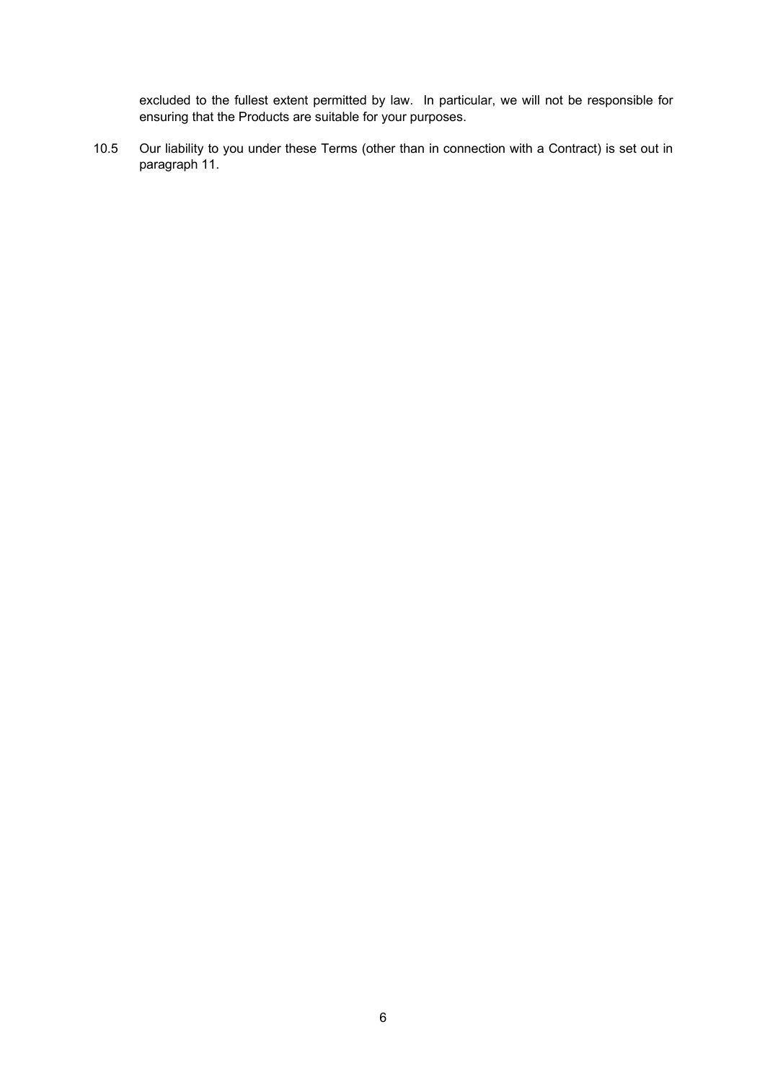excluded to the fullest extent permitted by law. In particular, we will not be responsible for ensuring that the Products are suitable for your purposes.

10.5 Our liability to you under these Terms (other than in connection with a Contract) is set out in paragraph 11.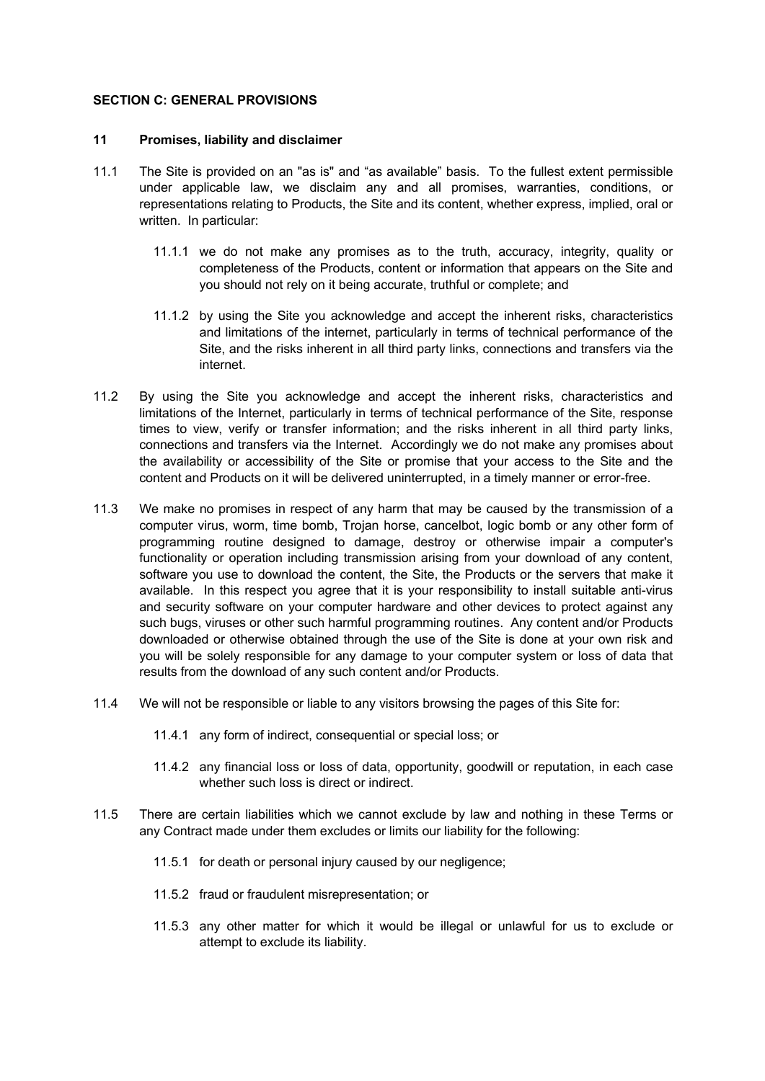### **SECTION C: GENERAL PROVISIONS**

#### **11 Promises, liability and disclaimer**

- 11.1 The Site is provided on an "as is" and "as available" basis. To the fullest extent permissible under applicable law, we disclaim any and all promises, warranties, conditions, or representations relating to Products, the Site and its content, whether express, implied, oral or written. In particular:
	- 11.1.1 we do not make any promises as to the truth, accuracy, integrity, quality or completeness of the Products, content or information that appears on the Site and you should not rely on it being accurate, truthful or complete; and
	- 11.1.2 by using the Site you acknowledge and accept the inherent risks, characteristics and limitations of the internet, particularly in terms of technical performance of the Site, and the risks inherent in all third party links, connections and transfers via the internet.
- 11.2 By using the Site you acknowledge and accept the inherent risks, characteristics and limitations of the Internet, particularly in terms of technical performance of the Site, response times to view, verify or transfer information; and the risks inherent in all third party links, connections and transfers via the Internet. Accordingly we do not make any promises about the availability or accessibility of the Site or promise that your access to the Site and the content and Products on it will be delivered uninterrupted, in a timely manner or error-free.
- 11.3 We make no promises in respect of any harm that may be caused by the transmission of a computer virus, worm, time bomb, Trojan horse, cancelbot, logic bomb or any other form of programming routine designed to damage, destroy or otherwise impair a computer's functionality or operation including transmission arising from your download of any content, software you use to download the content, the Site, the Products or the servers that make it available. In this respect you agree that it is your responsibility to install suitable anti-virus and security software on your computer hardware and other devices to protect against any such bugs, viruses or other such harmful programming routines. Any content and/or Products downloaded or otherwise obtained through the use of the Site is done at your own risk and you will be solely responsible for any damage to your computer system or loss of data that results from the download of any such content and/or Products.
- 11.4 We will not be responsible or liable to any visitors browsing the pages of this Site for:
	- 11.4.1 any form of indirect, consequential or special loss; or
	- 11.4.2 any financial loss or loss of data, opportunity, goodwill or reputation, in each case whether such loss is direct or indirect.
- 11.5 There are certain liabilities which we cannot exclude by law and nothing in these Terms or any Contract made under them excludes or limits our liability for the following:
	- 11.5.1 for death or personal injury caused by our negligence;
	- 11.5.2 fraud or fraudulent misrepresentation; or
	- 11.5.3 any other matter for which it would be illegal or unlawful for us to exclude or attempt to exclude its liability.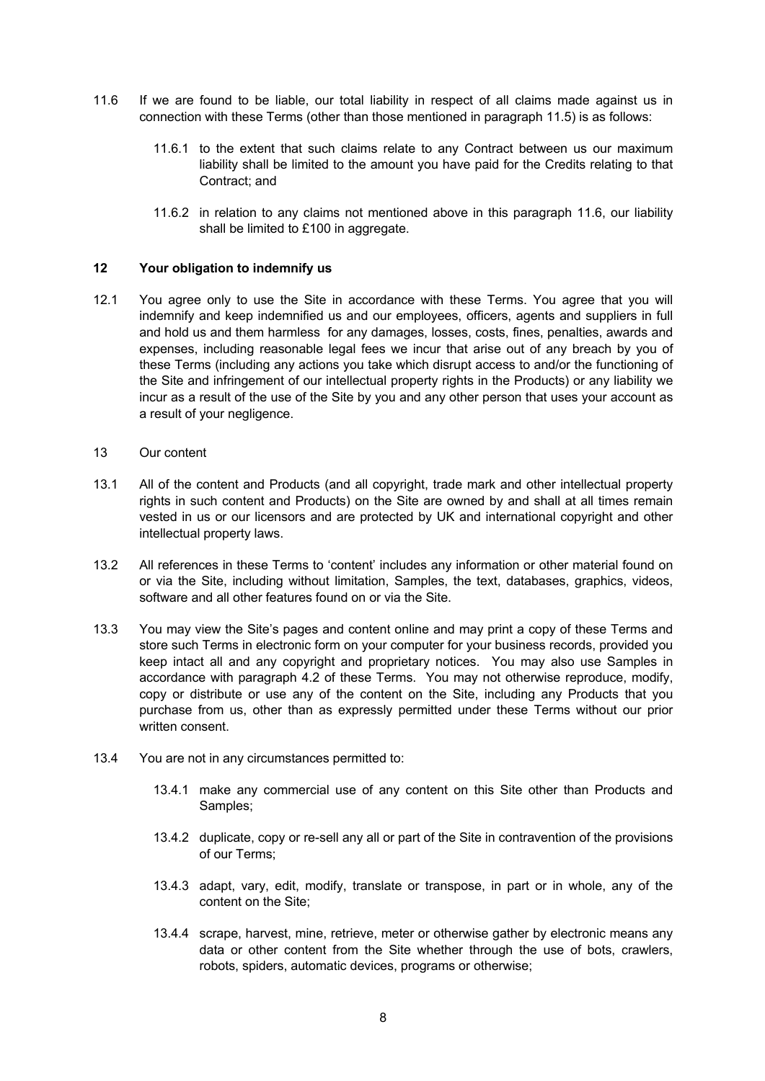- 11.6 If we are found to be liable, our total liability in respect of all claims made against us in connection with these Terms (other than those mentioned in paragraph 11.5) is as follows:
	- 11.6.1 to the extent that such claims relate to any Contract between us our maximum liability shall be limited to the amount you have paid for the Credits relating to that Contract; and
	- 11.6.2 in relation to any claims not mentioned above in this paragraph 11.6, our liability shall be limited to £100 in aggregate.

#### **12 Your obligation to indemnify us**

- 12.1 You agree only to use the Site in accordance with these Terms. You agree that you will indemnify and keep indemnified us and our employees, officers, agents and suppliers in full and hold us and them harmless for any damages, losses, costs, fines, penalties, awards and expenses, including reasonable legal fees we incur that arise out of any breach by you of these Terms (including any actions you take which disrupt access to and/or the functioning of the Site and infringement of our intellectual property rights in the Products) or any liability we incur as a result of the use of the Site by you and any other person that uses your account as a result of your negligence.
- 13 Our content
- 13.1 All of the content and Products (and all copyright, trade mark and other intellectual property rights in such content and Products) on the Site are owned by and shall at all times remain vested in us or our licensors and are protected by UK and international copyright and other intellectual property laws.
- 13.2 All references in these Terms to 'content' includes any information or other material found on or via the Site, including without limitation, Samples, the text, databases, graphics, videos, software and all other features found on or via the Site.
- 13.3 You may view the Site's pages and content online and may print a copy of these Terms and store such Terms in electronic form on your computer for your business records, provided you keep intact all and any copyright and proprietary notices. You may also use Samples in accordance with paragraph 4.2 of these Terms. You may not otherwise reproduce, modify, copy or distribute or use any of the content on the Site, including any Products that you purchase from us, other than as expressly permitted under these Terms without our prior written consent.
- 13.4 You are not in any circumstances permitted to:
	- 13.4.1 make any commercial use of any content on this Site other than Products and Samples;
	- 13.4.2 duplicate, copy or re-sell any all or part of the Site in contravention of the provisions of our Terms;
	- 13.4.3 adapt, vary, edit, modify, translate or transpose, in part or in whole, any of the content on the Site;
	- 13.4.4 scrape, harvest, mine, retrieve, meter or otherwise gather by electronic means any data or other content from the Site whether through the use of bots, crawlers, robots, spiders, automatic devices, programs or otherwise;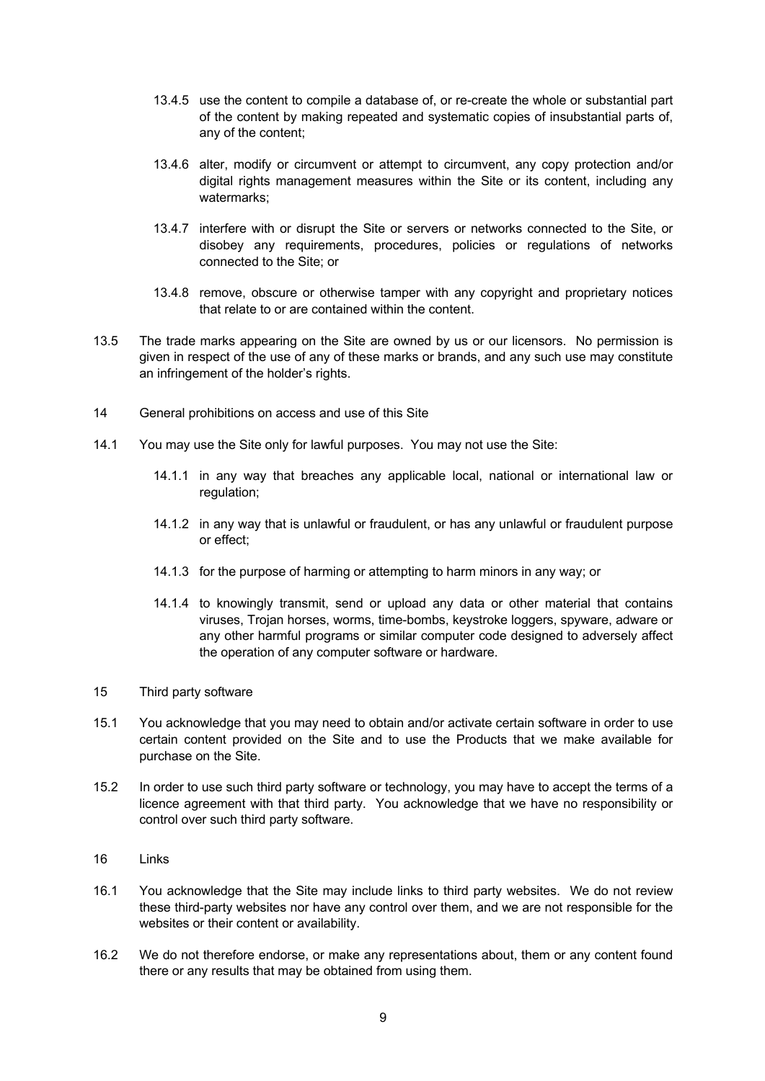- 13.4.5 use the content to compile a database of, or re-create the whole or substantial part of the content by making repeated and systematic copies of insubstantial parts of, any of the content;
- 13.4.6 alter, modify or circumvent or attempt to circumvent, any copy protection and/or digital rights management measures within the Site or its content, including any watermarks;
- 13.4.7 interfere with or disrupt the Site or servers or networks connected to the Site, or disobey any requirements, procedures, policies or regulations of networks connected to the Site; or
- 13.4.8 remove, obscure or otherwise tamper with any copyright and proprietary notices that relate to or are contained within the content.
- 13.5 The trade marks appearing on the Site are owned by us or our licensors. No permission is given in respect of the use of any of these marks or brands, and any such use may constitute an infringement of the holder's rights.
- 14 General prohibitions on access and use of this Site
- 14.1 You may use the Site only for lawful purposes. You may not use the Site:
	- 14.1.1 in any way that breaches any applicable local, national or international law or regulation;
	- 14.1.2 in any way that is unlawful or fraudulent, or has any unlawful or fraudulent purpose or effect;
	- 14.1.3 for the purpose of harming or attempting to harm minors in any way; or
	- 14.1.4 to knowingly transmit, send or upload any data or other material that contains viruses, Trojan horses, worms, time-bombs, keystroke loggers, spyware, adware or any other harmful programs or similar computer code designed to adversely affect the operation of any computer software or hardware.
- 15 Third party software
- 15.1 You acknowledge that you may need to obtain and/or activate certain software in order to use certain content provided on the Site and to use the Products that we make available for purchase on the Site.
- 15.2 In order to use such third party software or technology, you may have to accept the terms of a licence agreement with that third party. You acknowledge that we have no responsibility or control over such third party software.
- 16 Links
- 16.1 You acknowledge that the Site may include links to third party websites. We do not review these third-party websites nor have any control over them, and we are not responsible for the websites or their content or availability.
- 16.2 We do not therefore endorse, or make any representations about, them or any content found there or any results that may be obtained from using them.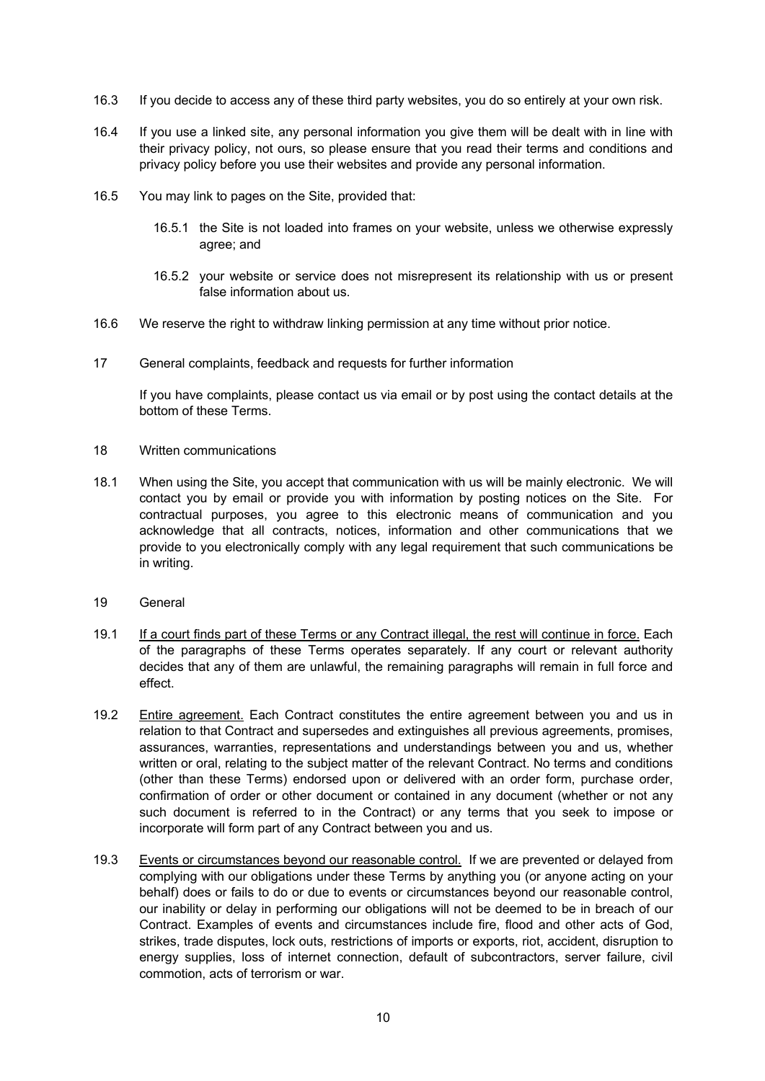- 16.3 If you decide to access any of these third party websites, you do so entirely at your own risk.
- 16.4 If you use a linked site, any personal information you give them will be dealt with in line with their privacy policy, not ours, so please ensure that you read their terms and conditions and privacy policy before you use their websites and provide any personal information.
- 16.5 You may link to pages on the Site, provided that:
	- 16.5.1 the Site is not loaded into frames on your website, unless we otherwise expressly agree; and
	- 16.5.2 your website or service does not misrepresent its relationship with us or present false information about us.
- 16.6 We reserve the right to withdraw linking permission at any time without prior notice.
- 17 General complaints, feedback and requests for further information

If you have complaints, please contact us via email or by post using the contact details at the bottom of these Terms.

- 18 Written communications
- 18.1 When using the Site, you accept that communication with us will be mainly electronic. We will contact you by email or provide you with information by posting notices on the Site. For contractual purposes, you agree to this electronic means of communication and you acknowledge that all contracts, notices, information and other communications that we provide to you electronically comply with any legal requirement that such communications be in writing.
- 19 General
- 19.1 If a court finds part of these Terms or any Contract illegal, the rest will continue in force. Each of the paragraphs of these Terms operates separately. If any court or relevant authority decides that any of them are unlawful, the remaining paragraphs will remain in full force and effect.
- 19.2 Entire agreement. Each Contract constitutes the entire agreement between you and us in relation to that Contract and supersedes and extinguishes all previous agreements, promises, assurances, warranties, representations and understandings between you and us, whether written or oral, relating to the subject matter of the relevant Contract. No terms and conditions (other than these Terms) endorsed upon or delivered with an order form, purchase order, confirmation of order or other document or contained in any document (whether or not any such document is referred to in the Contract) or any terms that you seek to impose or incorporate will form part of any Contract between you and us.
- 19.3 Events or circumstances beyond our reasonable control. If we are prevented or delayed from complying with our obligations under these Terms by anything you (or anyone acting on your behalf) does or fails to do or due to events or circumstances beyond our reasonable control, our inability or delay in performing our obligations will not be deemed to be in breach of our Contract. Examples of events and circumstances include fire, flood and other acts of God, strikes, trade disputes, lock outs, restrictions of imports or exports, riot, accident, disruption to energy supplies, loss of internet connection, default of subcontractors, server failure, civil commotion, acts of terrorism or war.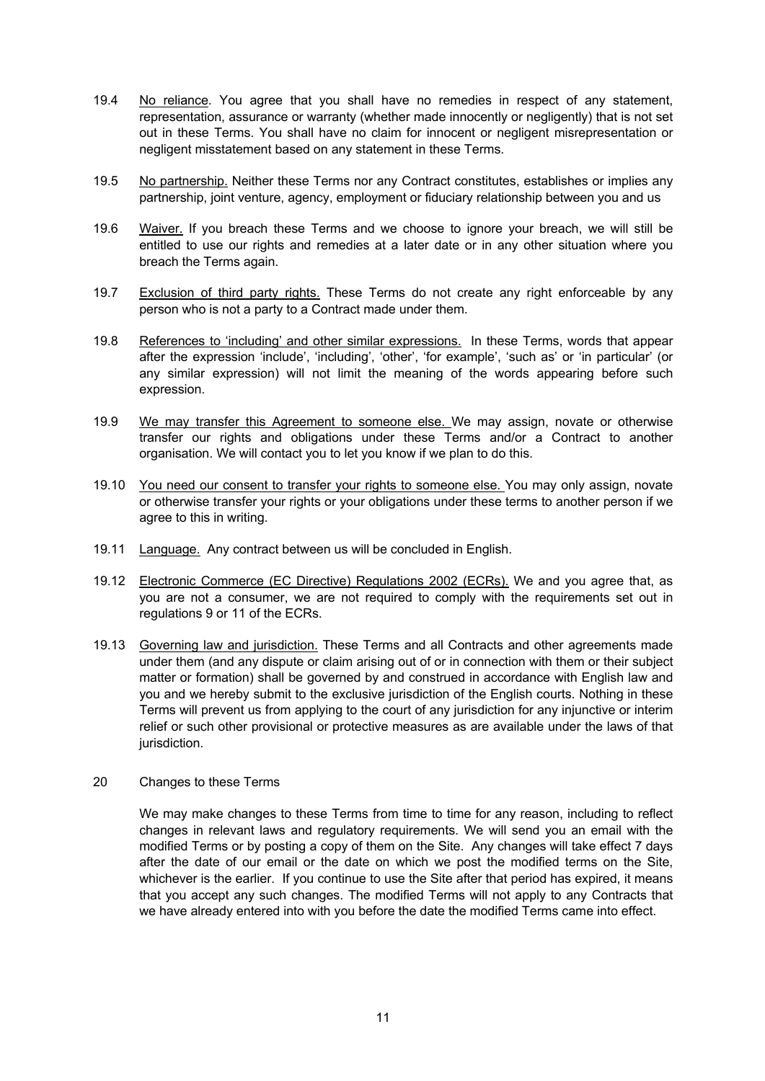- 19.4 No reliance. You agree that you shall have no remedies in respect of any statement, representation, assurance or warranty (whether made innocently or negligently) that is not set out in these Terms. You shall have no claim for innocent or negligent misrepresentation or negligent misstatement based on any statement in these Terms.
- 19.5 No partnership. Neither these Terms nor any Contract constitutes, establishes or implies any partnership, joint venture, agency, employment or fiduciary relationship between you and us
- 19.6 Waiver. If you breach these Terms and we choose to ignore your breach, we will still be entitled to use our rights and remedies at a later date or in any other situation where you breach the Terms again.
- 19.7 Exclusion of third party rights. These Terms do not create any right enforceable by any person who is not a party to a Contract made under them.
- 19.8 References to 'including' and other similar expressions. In these Terms, words that appear after the expression 'include', 'including', 'other', 'for example', 'such as' or 'in particular' (or any similar expression) will not limit the meaning of the words appearing before such expression.
- 19.9 We may transfer this Agreement to someone else. We may assign, novate or otherwise transfer our rights and obligations under these Terms and/or a Contract to another organisation. We will contact you to let you know if we plan to do this.
- 19.10 You need our consent to transfer your rights to someone else. You may only assign, novate or otherwise transfer your rights or your obligations under these terms to another person if we agree to this in writing.
- 19.11 Language. Any contract between us will be concluded in English.
- 19.12 Electronic Commerce (EC Directive) Regulations 2002 (ECRs). We and you agree that, as you are not a consumer, we are not required to comply with the requirements set out in regulations 9 or 11 of the ECRs.
- 19.13 Governing law and jurisdiction. These Terms and all Contracts and other agreements made under them (and any dispute or claim arising out of or in connection with them or their subject matter or formation) shall be governed by and construed in accordance with English law and you and we hereby submit to the exclusive jurisdiction of the English courts. Nothing in these Terms will prevent us from applying to the court of any jurisdiction for any injunctive or interim relief or such other provisional or protective measures as are available under the laws of that jurisdiction.
- 20 Changes to these Terms

We may make changes to these Terms from time to time for any reason, including to reflect changes in relevant laws and regulatory requirements. We will send you an email with the modified Terms or by posting a copy of them on the Site. Any changes will take effect 7 days after the date of our email or the date on which we post the modified terms on the Site, whichever is the earlier. If you continue to use the Site after that period has expired, it means that you accept any such changes. The modified Terms will not apply to any Contracts that we have already entered into with you before the date the modified Terms came into effect.